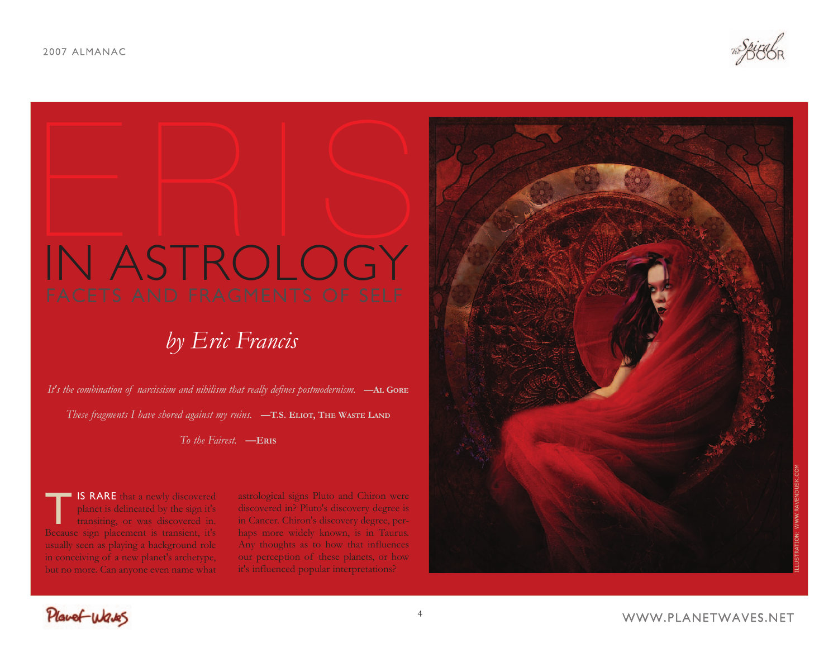# ERIS<br>ERIS IN ASTROLOGY

# *by Eric Francis*

*It's the combination of narcissism and nihilism that really defines postmodernism.* **—AL GORE** *These fragments I have shored against my ruins.* **—T.S. ELIOT, THE WASTE LAND**

*To the Fairest.* **—ERIS**

**TIS RARE** that a newly discovered<br>planet is delineated by the sign it's<br>transiting, or was discovered in.<br>Because sign placement is transient, it's planet is delineated by the sign it's transiting, or was discovered in. Because sign placement is transient, it's usually seen as playing a background role in conceiving of a new planet's archetype, but no more. Can anyone even name what

astrological signs Pluto and Chiron were discovered in? Pluto's discovery degree is in Cancer. Chiron's discovery degree, perhaps more widely known, is in Taurus. Any thoughts as to how that influences our perception of these planets, or how it's influenced popular interpretations?

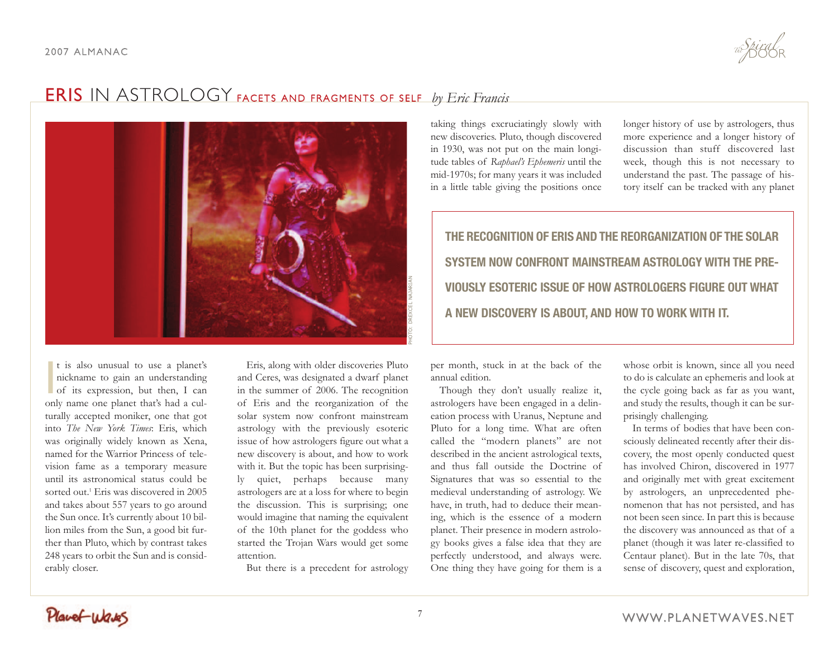

t is also unusual to use a planet's<br>nickname to gain an understanding<br>of its expression, but then, I can t is also unusual to use a planet's nickname to gain an understanding only name one planet that's had a culturally accepted moniker, one that got into *The New York Times*: Eris, which was originally widely known as Xena, named for the Warrior Princess of television fame as a temporary measure until its astronomical status could be sorted out.<sup>1</sup> Eris was discovered in 2005 and takes about 557 years to go around the Sun once. It's currently about 10 billion miles from the Sun, a good bit further than Pluto, which by contrast takes 248 years to orbit the Sun and is considerably closer.

Eris, along with older discoveries Pluto and Ceres, was designated a dwarf planet in the summer of 2006. The recognition of Eris and the reorganization of the solar system now confront mainstream astrology with the previously esoteric issue of how astrologers figure out what a new discovery is about, and how to work with it. But the topic has been surprisingly quiet, perhaps because many astrologers are at a loss for where to begin the discussion. This is surprising; one would imagine that naming the equivalent of the 10th planet for the goddess who started the Trojan Wars would get some attention.

But there is a precedent for astrology

taking things excruciatingly slowly with new discoveries. Pluto, though discovered in 1930, was not put on the main longitude tables of *Raphael's Ephemeris* until the mid-1970s; for many years it was included in a little table giving the positions once longer history of use by astrologers, thus more experience and a longer history of discussion than stuff discovered last week, though this is not necessary to understand the past. The passage of history itself can be tracked with any planet

**THE RECOGNITION OF ERIS AND THE REORGANIZATION OF THE SOLAR SYSTEM NOW CONFRONT MAINSTREAM ASTROLOGY WITH THE PRE-VIOUSLY ESOTERIC ISSUE OF HOW ASTROLOGERS FIGURE OUT WHAT A NEW DISCOVERY IS ABOUT, AND HOW TO WORK WITH IT.**

per month, stuck in at the back of the annual edition.

Though they don't usually realize it, astrologers have been engaged in a delineation process with Uranus, Neptune and Pluto for a long time. What are often called the "modern planets" are not described in the ancient astrological texts, and thus fall outside the Doctrine of Signatures that was so essential to the medieval understanding of astrology. We have, in truth, had to deduce their meaning, which is the essence of a modern planet. Their presence in modern astrology books gives a false idea that they are perfectly understood, and always were. One thing they have going for them is a

whose orbit is known, since all you need to do is calculate an ephemeris and look at the cycle going back as far as you want, and study the results, though it can be surprisingly challenging.

In terms of bodies that have been consciously delineated recently after their discovery, the most openly conducted quest has involved Chiron, discovered in 1977 and originally met with great excitement by astrologers, an unprecedented phenomenon that has not persisted, and has not been seen since. In part this is because the discovery was announced as that of a planet (though it was later re-classified to Centaur planet). But in the late 70s, that sense of discovery, quest and exploration,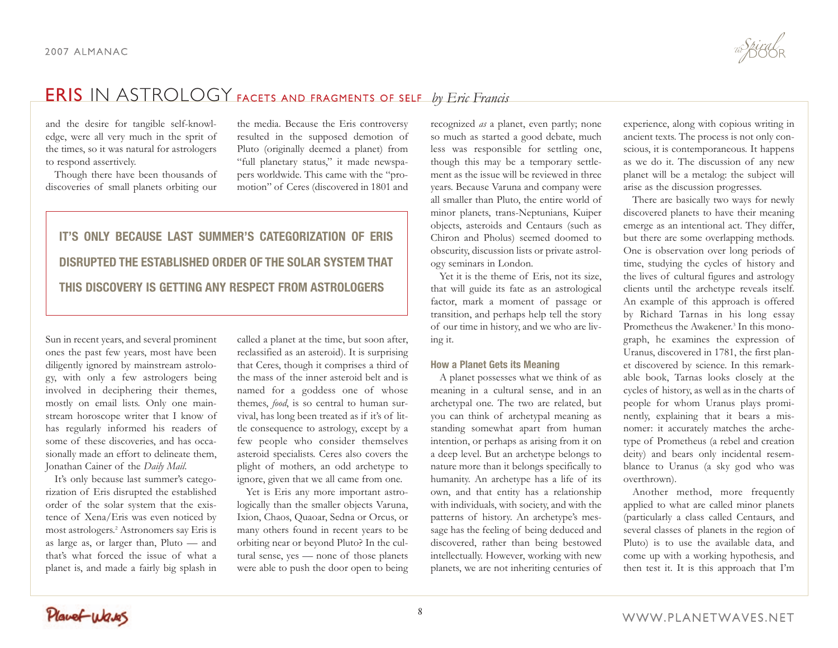and the desire for tangible self-knowledge, were all very much in the sprit of the times, so it was natural for astrologers to respond assertively.

Though there have been thousands of discoveries of small planets orbiting our

the media. Because the Eris controversy resulted in the supposed demotion of Pluto (originally deemed a planet) from "full planetary status," it made newspapers worldwide. This came with the "promotion" of Ceres (discovered in 1801 and

# **IT'S ONLY BECAUSE LAST SUMMER'S CATEGORIZATION OF ERIS DISRUPTED THE ESTABLISHED ORDER OF THE SOLAR SYSTEM THAT THIS DISCOVERY IS GETTING ANY RESPECT FROM ASTROLOGERS**

Sun in recent years, and several prominent ones the past few years, most have been diligently ignored by mainstream astrology, with only a few astrologers being involved in deciphering their themes, mostly on email lists. Only one mainstream horoscope writer that I know of has regularly informed his readers of some of these discoveries, and has occasionally made an effort to delineate them, Jonathan Cainer of the *Daily Mail*.

It's only because last summer's categorization of Eris disrupted the established order of the solar system that the existence of Xena/Eris was even noticed by most astrologers.2 Astronomers say Eris is as large as, or larger than, Pluto — and that's what forced the issue of what a planet is, and made a fairly big splash in

called a planet at the time, but soon after, reclassified as an asteroid). It is surprising that Ceres, though it comprises a third of the mass of the inner asteroid belt and is named for a goddess one of whose themes, *food*, is so central to human survival, has long been treated as if it's of little consequence to astrology, except by a few people who consider themselves asteroid specialists. Ceres also covers the plight of mothers, an odd archetype to ignore, given that we all came from one.

Yet is Eris any more important astrologically than the smaller objects Varuna, Ixion, Chaos, Quaoar, Sedna or Orcus, or many others found in recent years to be orbiting near or beyond Pluto? In the cultural sense, yes — none of those planets were able to push the door open to being

recognized *as* a planet, even partly; none so much as started a good debate, much less was responsible for settling one, though this may be a temporary settlement as the issue will be reviewed in three years. Because Varuna and company were all smaller than Pluto, the entire world of minor planets, trans-Neptunians, Kuiper objects, asteroids and Centaurs (such as Chiron and Pholus) seemed doomed to obscurity, discussion lists or private astrology seminars in London.

Yet it is the theme of Eris, not its size, that will guide its fate as an astrological factor, mark a moment of passage or transition, and perhaps help tell the story of our time in history, and we who are living it.

### **How a Planet Gets its Meaning**

A planet possesses what we think of as meaning in a cultural sense, and in an archetypal one. The two are related, but you can think of archetypal meaning as standing somewhat apart from human intention, or perhaps as arising from it on a deep level. But an archetype belongs to nature more than it belongs specifically to humanity. An archetype has a life of its own, and that entity has a relationship with individuals, with society, and with the patterns of history. An archetype's message has the feeling of being deduced and discovered, rather than being bestowed intellectually. However, working with new planets, we are not inheriting centuries of experience, along with copious writing in ancient texts. The process is not only conscious, it is contemporaneous. It happens as we do it. The discussion of any new planet will be a metalog: the subject will arise as the discussion progresses.

There are basically two ways for newly discovered planets to have their meaning emerge as an intentional act. They differ, but there are some overlapping methods. One is observation over long periods of time, studying the cycles of history and the lives of cultural figures and astrology clients until the archetype reveals itself. An example of this approach is offered by Richard Tarnas in his long essay Prometheus the Awakener.<sup>3</sup> In this monograph, he examines the expression of Uranus, discovered in 1781, the first planet discovered by science. In this remarkable book, Tarnas looks closely at the cycles of history, as well as in the charts of people for whom Uranus plays prominently, explaining that it bears a misnomer: it accurately matches the archetype of Prometheus (a rebel and creation deity) and bears only incidental resemblance to Uranus (a sky god who was overthrown).

Another method, more frequently applied to what are called minor planets (particularly a class called Centaurs, and several classes of planets in the region of Pluto) is to use the available data, and come up with a working hypothesis, and then test it. It is this approach that I'm

Planet Waves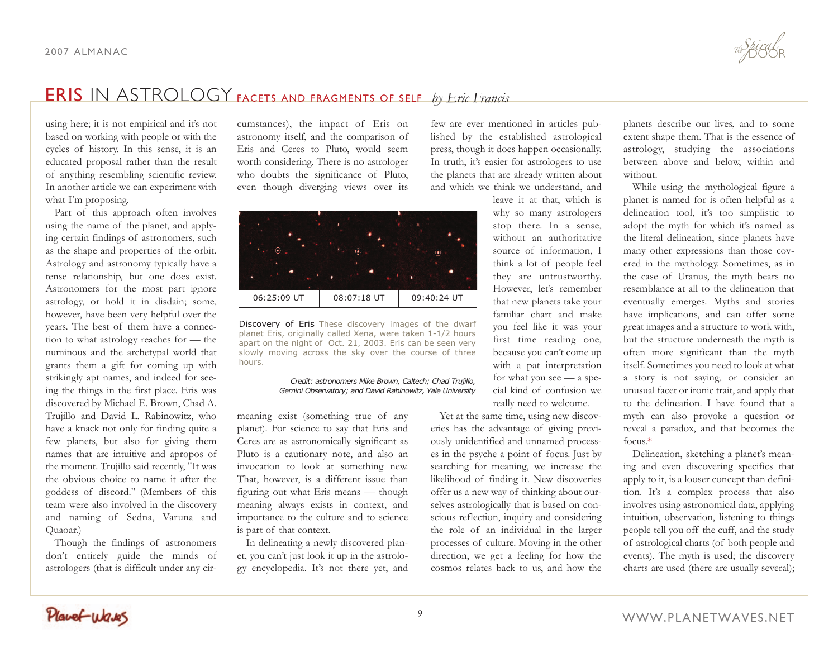using here; it is not empirical and it's not based on working with people or with the cycles of history. In this sense, it is an educated proposal rather than the result of anything resembling scientific review. In another article we can experiment with what I'm proposing.

Part of this approach often involves using the name of the planet, and applying certain findings of astronomers, such as the shape and properties of the orbit. Astrology and astronomy typically have a tense relationship, but one does exist. Astronomers for the most part ignore astrology, or hold it in disdain; some, however, have been very helpful over the years. The best of them have a connection to what astrology reaches for — the numinous and the archetypal world that grants them a gift for coming up with strikingly apt names, and indeed for seeing the things in the first place. Eris was discovered by Michael E. Brown, Chad A. Trujillo and David L. Rabinowitz, who have a knack not only for finding quite a few planets, but also for giving them names that are intuitive and apropos of the moment. Trujillo said recently, "It was the obvious choice to name it after the goddess of discord." (Members of this team were also involved in the discovery and naming of Sedna, Varuna and Quaoar.)

Though the findings of astronomers don't entirely guide the minds of astrologers (that is difficult under any cir-

cumstances), the impact of Eris on astronomy itself, and the comparison of Eris and Ceres to Pluto, would seem worth considering. There is no astrologer who doubts the significance of Pluto, even though diverging views over its



Discovery of Eris These discovery images of the dwarf planet Eris, originally called Xena, were taken 1-1/2 hours apart on the night of Oct. 21, 2003. Eris can be seen very slowly moving across the sky over the course of three hours.

### *Credit: astronomers Mike Brown, Caltech; Chad Trujillo, Gemini Observatory; and David Rabinowitz, Yale University*

meaning exist (something true of any planet). For science to say that Eris and Ceres are as astronomically significant as Pluto is a cautionary note, and also an invocation to look at something new. That, however, is a different issue than figuring out what Eris means — though meaning always exists in context, and importance to the culture and to science is part of that context.

In delineating a newly discovered planet, you can't just look it up in the astrology encyclopedia. It's not there yet, and

few are ever mentioned in articles published by the established astrological press, though it does happen occasionally. In truth, it's easier for astrologers to use the planets that are already written about and which we think we understand, and

> leave it at that, which is why so many astrologers stop there. In a sense, without an authoritative source of information, I think a lot of people feel they are untrustworthy. However, let's remember that new planets take your familiar chart and make you feel like it was your first time reading one, because you can't come up with a pat interpretation for what you see — a special kind of confusion we really need to welcome.

Yet at the same time, using new discoveries has the advantage of giving previously unidentified and unnamed processes in the psyche a point of focus. Just by searching for meaning, we increase the likelihood of finding it. New discoveries offer us a new way of thinking about ourselves astrologically that is based on conscious reflection, inquiry and considering the role of an individual in the larger processes of culture. Moving in the other direction, we get a feeling for how the cosmos relates back to us, and how the

planets describe our lives, and to some extent shape them. That is the essence of astrology, studying the associations between above and below, within and without.

While using the mythological figure a planet is named for is often helpful as a delineation tool, it's too simplistic to adopt the myth for which it's named as the literal delineation, since planets have many other expressions than those covered in the mythology. Sometimes, as in the case of Uranus, the myth bears no resemblance at all to the delineation that eventually emerges. Myths and stories have implications, and can offer some great images and a structure to work with, but the structure underneath the myth is often more significant than the myth itself. Sometimes you need to look at what a story is not saying, or consider an unusual facet or ironic trait, and apply that to the delineation. I have found that a myth can also provoke a question or reveal a paradox, and that becomes the focus.\*

Delineation, sketching a planet's meaning and even discovering specifics that apply to it, is a looser concept than definition. It's a complex process that also involves using astronomical data, applying intuition, observation, listening to things people tell you off the cuff, and the study of astrological charts (of both people and events). The myth is used; the discovery charts are used (there are usually several);

Planet Waves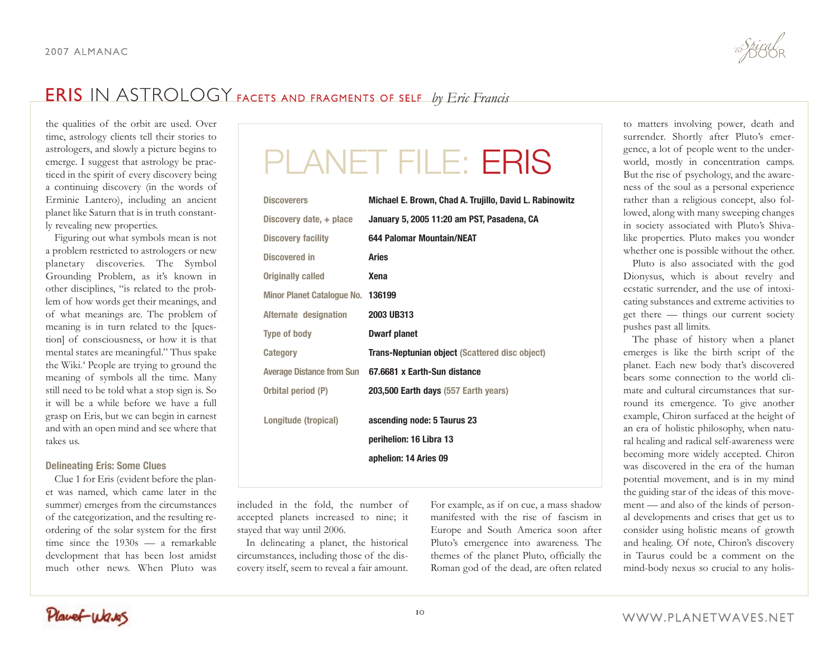the qualities of the orbit are used. Over time, astrology clients tell their stories to astrologers, and slowly a picture begins to emerge. I suggest that astrology be practiced in the spirit of every discovery being a continuing discovery (in the words of Erminie Lantero), including an ancient planet like Saturn that is in truth constantly revealing new properties.

Figuring out what symbols mean is not a problem restricted to astrologers or new planetary discoveries. The Symbol Grounding Problem, as it's known in other disciplines, "is related to the problem of how words get their meanings, and of what meanings are. The problem of meaning is in turn related to the [question] of consciousness, or how it is that mental states are meaningful." Thus spake the Wiki.<sup>4</sup> People are trying to ground the meaning of symbols all the time. Many still need to be told what a stop sign is. So it will be a while before we have a full grasp on Eris, but we can begin in earnest and with an open mind and see where that takes us.

### **Delineating Eris: Some Clues**

Clue 1 for Eris (evident before the planet was named, which came later in the summer) emerges from the circumstances of the categorization, and the resulting reordering of the solar system for the first time since the 1930s — a remarkable development that has been lost amidst much other news. When Pluto was

# PLANET FILE: ERIS

| Discovery date, + place<br>January 5, 2005 11:20 am PST, Pasadena, CA<br>644 Palomar Mountain/NEAT<br><b>Discovery facility</b><br><b>Discovered in</b><br><b>Aries</b><br><b>Originally called</b><br><b>Xena</b><br>Minor Planet Catalogue No. 136199<br>2003 UB313<br>Alternate designation<br><b>Dwarf planet</b><br><b>Type of body</b><br><b>Trans-Neptunian object (Scattered disc object)</b><br><b>Category</b><br><b>Average Distance from Sun</b><br>67.6681 x Earth-Sun distance<br>Orbital period (P)<br>203,500 Earth days (557 Earth years)<br>Longitude (tropical)<br>ascending node: 5 Taurus 23<br>perihelion: 16 Libra 13<br>aphelion: 14 Aries 09 | <b>Discoverers</b> | Michael E. Brown, Chad A. Trujillo, David L. Rabinowitz |
|-----------------------------------------------------------------------------------------------------------------------------------------------------------------------------------------------------------------------------------------------------------------------------------------------------------------------------------------------------------------------------------------------------------------------------------------------------------------------------------------------------------------------------------------------------------------------------------------------------------------------------------------------------------------------|--------------------|---------------------------------------------------------|
|                                                                                                                                                                                                                                                                                                                                                                                                                                                                                                                                                                                                                                                                       |                    |                                                         |
|                                                                                                                                                                                                                                                                                                                                                                                                                                                                                                                                                                                                                                                                       |                    |                                                         |
|                                                                                                                                                                                                                                                                                                                                                                                                                                                                                                                                                                                                                                                                       |                    |                                                         |
|                                                                                                                                                                                                                                                                                                                                                                                                                                                                                                                                                                                                                                                                       |                    |                                                         |
|                                                                                                                                                                                                                                                                                                                                                                                                                                                                                                                                                                                                                                                                       |                    |                                                         |
|                                                                                                                                                                                                                                                                                                                                                                                                                                                                                                                                                                                                                                                                       |                    |                                                         |
|                                                                                                                                                                                                                                                                                                                                                                                                                                                                                                                                                                                                                                                                       |                    |                                                         |
|                                                                                                                                                                                                                                                                                                                                                                                                                                                                                                                                                                                                                                                                       |                    |                                                         |
|                                                                                                                                                                                                                                                                                                                                                                                                                                                                                                                                                                                                                                                                       |                    |                                                         |
|                                                                                                                                                                                                                                                                                                                                                                                                                                                                                                                                                                                                                                                                       |                    |                                                         |
|                                                                                                                                                                                                                                                                                                                                                                                                                                                                                                                                                                                                                                                                       |                    |                                                         |

included in the fold, the number of accepted planets increased to nine; it stayed that way until 2006.

In delineating a planet, the historical circumstances, including those of the discovery itself, seem to reveal a fair amount.

For example, as if on cue, a mass shadow manifested with the rise of fascism in Europe and South America soon after Pluto's emergence into awareness. The themes of the planet Pluto, officially the Roman god of the dead, are often related to matters involving power, death and surrender. Shortly after Pluto's emergence, a lot of people went to the underworld, mostly in concentration camps. But the rise of psychology, and the awareness of the soul as a personal experience rather than a religious concept, also followed, along with many sweeping changes in society associated with Pluto's Shivalike properties. Pluto makes you wonder whether one is possible without the other.

Pluto is also associated with the god Dionysus, which is about revelry and ecstatic surrender, and the use of intoxicating substances and extreme activities to get there — things our current society pushes past all limits.

The phase of history when a planet emerges is like the birth script of the planet. Each new body that's discovered bears some connection to the world climate and cultural circumstances that surround its emergence. To give another example, Chiron surfaced at the height of an era of holistic philosophy, when natural healing and radical self-awareness were becoming more widely accepted. Chiron was discovered in the era of the human potential movement, and is in my mind the guiding star of the ideas of this movement — and also of the kinds of personal developments and crises that get us to consider using holistic means of growth and healing. Of note, Chiron's discovery in Taurus could be a comment on the mind-body nexus so crucial to any holis-

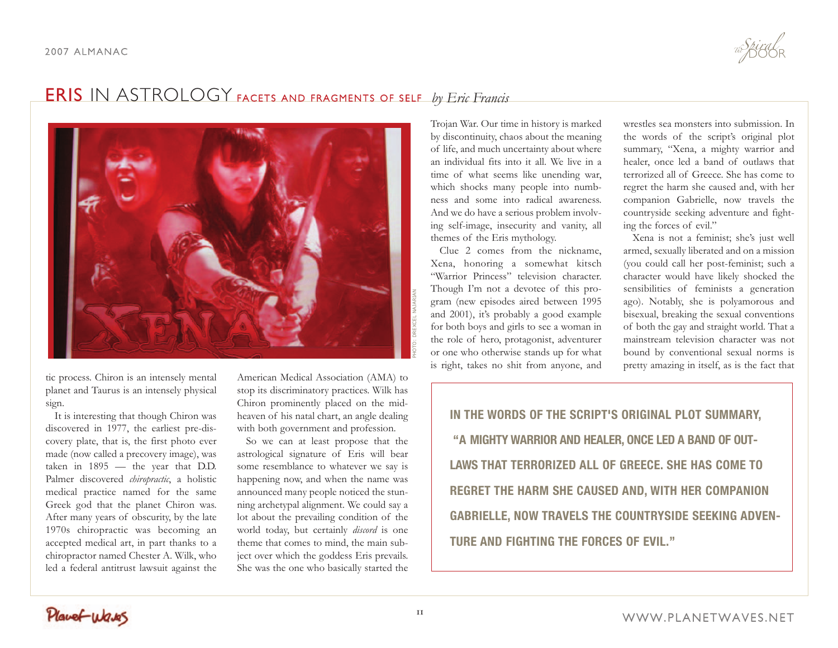

tic process. Chiron is an intensely mental planet and Taurus is an intensely physical sign.

It is interesting that though Chiron was discovered in 1977, the earliest pre-discovery plate, that is, the first photo ever made (now called a precovery image), was taken in 1895 — the year that D.D. Palmer discovered *chiropractic*, a holistic medical practice named for the same Greek god that the planet Chiron was. After many years of obscurity, by the late 1970s chiropractic was becoming an accepted medical art, in part thanks to a chiropractor named Chester A. Wilk, who led a federal antitrust lawsuit against the

American Medical Association (AMA) to stop its discriminatory practices. Wilk has Chiron prominently placed on the midheaven of his natal chart, an angle dealing with both government and profession.

So we can at least propose that the astrological signature of Eris will bear some resemblance to whatever we say is happening now, and when the name was announced many people noticed the stunning archetypal alignment. We could say a lot about the prevailing condition of the world today, but certainly *discord* is one theme that comes to mind, the main subject over which the goddess Eris prevails. She was the one who basically started the

Trojan War. Our time in history is marked by discontinuity, chaos about the meaning of life, and much uncertainty about where an individual fits into it all. We live in a time of what seems like unending war, which shocks many people into numbness and some into radical awareness. And we do have a serious problem involving self-image, insecurity and vanity, all themes of the Eris mythology.

Clue 2 comes from the nickname, Xena, honoring a somewhat kitsch "Warrior Princess" television character. Though I'm not a devotee of this program (new episodes aired between 1995 and 2001), it's probably a good example for both boys and girls to see a woman in the role of hero, protagonist, adventurer or one who otherwise stands up for what is right, takes no shit from anyone, and

wrestles sea monsters into submission. In the words of the script's original plot summary, "Xena, a mighty warrior and healer, once led a band of outlaws that terrorized all of Greece. She has come to regret the harm she caused and, with her companion Gabrielle, now travels the countryside seeking adventure and fighting the forces of evil."

Xena is not a feminist; she's just well armed, sexually liberated and on a mission (you could call her post-feminist; such a character would have likely shocked the sensibilities of feminists a generation ago). Notably, she is polyamorous and bisexual, breaking the sexual conventions of both the gay and straight world. That a mainstream television character was not bound by conventional sexual norms is pretty amazing in itself, as is the fact that

**IN THE WORDS OF THE SCRIPT'S ORIGINAL PLOT SUMMARY, "A MIGHTY WARRIOR AND HEALER, ONCE LED A BAND OF OUT-LAWS THAT TERRORIZED ALL OF GREECE. SHE HAS COME TO REGRET THE HARM SHE CAUSED AND, WITH HER COMPANION GABRIELLE, NOW TRAVELS THE COUNTRYSIDE SEEKING ADVEN-TURE AND FIGHTING THE FORCES OF EVIL."**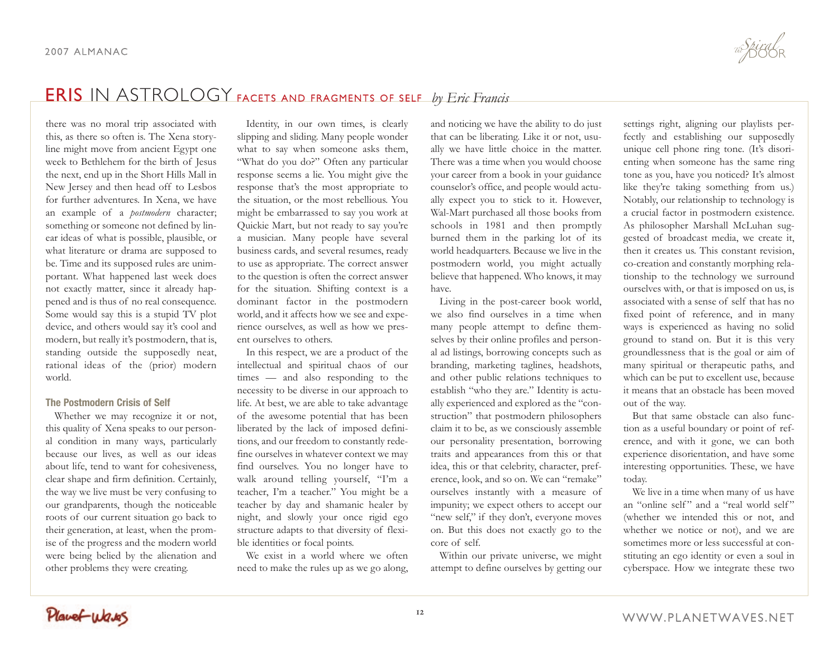there was no moral trip associated with this, as there so often is. The Xena storyline might move from ancient Egypt one week to Bethlehem for the birth of Jesus the next, end up in the Short Hills Mall in New Jersey and then head off to Lesbos for further adventures. In Xena, we have an example of a *postmodern* character; something or someone not defined by linear ideas of what is possible, plausible, or what literature or drama are supposed to be. Time and its supposed rules are unimportant. What happened last week does not exactly matter, since it already happened and is thus of no real consequence. Some would say this is a stupid TV plot device, and others would say it's cool and modern, but really it's postmodern, that is, standing outside the supposedly neat, rational ideas of the (prior) modern world.

### **The Postmodern Crisis of Self**

Whether we may recognize it or not, this quality of Xena speaks to our personal condition in many ways, particularly because our lives, as well as our ideas about life, tend to want for cohesiveness, clear shape and firm definition. Certainly, the way we live must be very confusing to our grandparents, though the noticeable roots of our current situation go back to their generation, at least, when the promise of the progress and the modern world were being belied by the alienation and other problems they were creating.

Identity, in our own times, is clearly slipping and sliding. Many people wonder what to say when someone asks them, "What do you do?" Often any particular response seems a lie. You might give the response that's the most appropriate to the situation, or the most rebellious. You might be embarrassed to say you work at Quickie Mart, but not ready to say you're a musician. Many people have several business cards, and several resumes, ready to use as appropriate. The correct answer to the question is often the correct answer for the situation. Shifting context is a dominant factor in the postmodern world, and it affects how we see and experience ourselves, as well as how we present ourselves to others.

In this respect, we are a product of the intellectual and spiritual chaos of our times — and also responding to the necessity to be diverse in our approach to life. At best, we are able to take advantage of the awesome potential that has been liberated by the lack of imposed definitions, and our freedom to constantly redefine ourselves in whatever context we may find ourselves. You no longer have to walk around telling yourself, "I'm a teacher, I'm a teacher." You might be a teacher by day and shamanic healer by night, and slowly your once rigid ego structure adapts to that diversity of flexible identities or focal points.

We exist in a world where we often need to make the rules up as we go along,

and noticing we have the ability to do just that can be liberating. Like it or not, usually we have little choice in the matter. There was a time when you would choose your career from a book in your guidance counselor's office, and people would actually expect you to stick to it. However, Wal-Mart purchased all those books from schools in 1981 and then promptly burned them in the parking lot of its world headquarters. Because we live in the postmodern world, you might actually believe that happened. Who knows, it may have.

Living in the post-career book world, we also find ourselves in a time when many people attempt to define themselves by their online profiles and personal ad listings, borrowing concepts such as branding, marketing taglines, headshots, and other public relations techniques to establish "who they are." Identity is actually experienced and explored as the "construction" that postmodern philosophers claim it to be, as we consciously assemble our personality presentation, borrowing traits and appearances from this or that idea, this or that celebrity, character, preference, look, and so on. We can "remake" ourselves instantly with a measure of impunity; we expect others to accept our "new self," if they don't, everyone moves on. But this does not exactly go to the core of self.

Within our private universe, we might attempt to define ourselves by getting our settings right, aligning our playlists perfectly and establishing our supposedly unique cell phone ring tone. (It's disorienting when someone has the same ring tone as you, have you noticed? It's almost like they're taking something from us.) Notably, our relationship to technology is a crucial factor in postmodern existence. As philosopher Marshall McLuhan suggested of broadcast media, we create it, then it creates us. This constant revision, co-creation and constantly morphing relationship to the technology we surround ourselves with, or that is imposed on us, is associated with a sense of self that has no fixed point of reference, and in many ways is experienced as having no solid ground to stand on. But it is this very groundlessness that is the goal or aim of many spiritual or therapeutic paths, and which can be put to excellent use, because it means that an obstacle has been moved out of the way.

But that same obstacle can also function as a useful boundary or point of reference, and with it gone, we can both experience disorientation, and have some interesting opportunities. These, we have today.

We live in a time when many of us have an "online self" and a "real world self" (whether we intended this or not, and whether we notice or not), and we are sometimes more or less successful at constituting an ego identity or even a soul in cyberspace. How we integrate these two

Planet Wares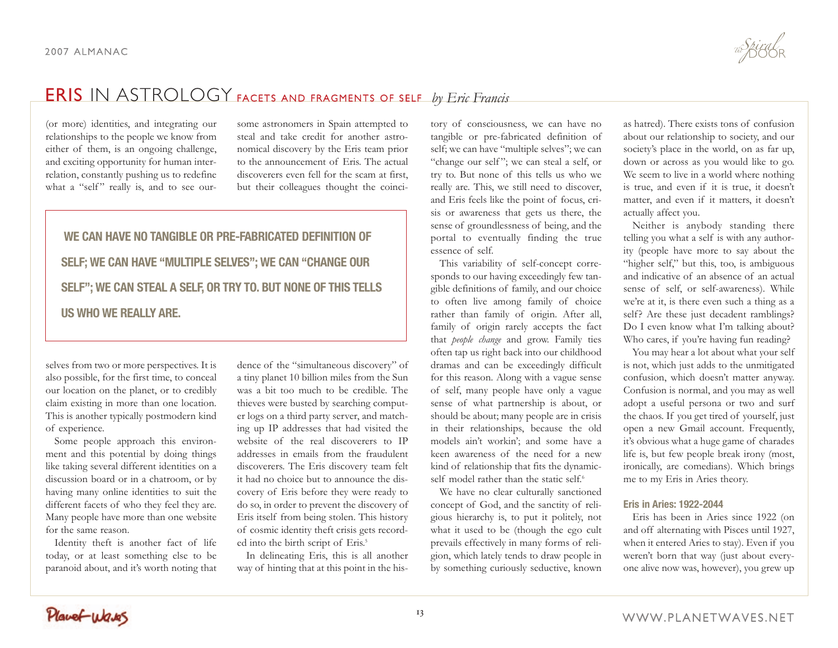(or more) identities, and integrating our relationships to the people we know from either of them, is an ongoing challenge, and exciting opportunity for human interrelation, constantly pushing us to redefine what a "self" really is, and to see our-

some astronomers in Spain attempted to steal and take credit for another astronomical discovery by the Eris team prior to the announcement of Eris. The actual discoverers even fell for the scam at first, but their colleagues thought the coinci-

# **WE CAN HAVE NO TANGIBLE OR PRE-FABRICATED DEFINITION OF SELF; WE CAN HAVE "MULTIPLE SELVES"; WE CAN "CHANGE OUR SELF"; WE CAN STEAL A SELF, OR TRY TO. BUT NONE OF THIS TELLS US WHO WE REALLY ARE.**

selves from two or more perspectives. It is also possible, for the first time, to conceal our location on the planet, or to credibly claim existing in more than one location. This is another typically postmodern kind of experience.

Some people approach this environment and this potential by doing things like taking several different identities on a discussion board or in a chatroom, or by having many online identities to suit the different facets of who they feel they are. Many people have more than one website for the same reason.

Identity theft is another fact of life today, or at least something else to be paranoid about, and it's worth noting that

dence of the "simultaneous discovery" of a tiny planet 10 billion miles from the Sun was a bit too much to be credible. The thieves were busted by searching computer logs on a third party server, and matching up IP addresses that had visited the website of the real discoverers to IP addresses in emails from the fraudulent discoverers. The Eris discovery team felt it had no choice but to announce the discovery of Eris before they were ready to do so, in order to prevent the discovery of Eris itself from being stolen. This history of cosmic identity theft crisis gets recorded into the birth script of Eris.<sup>5</sup>

In delineating Eris, this is all another way of hinting that at this point in the his-

tory of consciousness, we can have no tangible or pre-fabricated definition of self; we can have "multiple selves"; we can "change our self"; we can steal a self, or try to. But none of this tells us who we really are. This, we still need to discover, and Eris feels like the point of focus, crisis or awareness that gets us there, the sense of groundlessness of being, and the portal to eventually finding the true essence of self.

This variability of self-concept corresponds to our having exceedingly few tangible definitions of family, and our choice to often live among family of choice rather than family of origin. After all, family of origin rarely accepts the fact that *people change* and grow. Family ties often tap us right back into our childhood dramas and can be exceedingly difficult for this reason. Along with a vague sense of self, many people have only a vague sense of what partnership is about, or should be about; many people are in crisis in their relationships, because the old models ain't workin'; and some have a keen awareness of the need for a new kind of relationship that fits the dynamicself model rather than the static self.<sup>6</sup>

We have no clear culturally sanctioned concept of God, and the sanctity of religious hierarchy is, to put it politely, not what it used to be (though the ego cult prevails effectively in many forms of religion, which lately tends to draw people in by something curiously seductive, known

as hatred). There exists tons of confusion about our relationship to society, and our society's place in the world, on as far up, down or across as you would like to go. We seem to live in a world where nothing is true, and even if it is true, it doesn't matter, and even if it matters, it doesn't actually affect you.

Neither is anybody standing there telling you what a self is with any authority (people have more to say about the "higher self," but this, too, is ambiguous and indicative of an absence of an actual sense of self, or self-awareness). While we're at it, is there even such a thing as a self? Are these just decadent ramblings? Do I even know what I'm talking about? Who cares, if you're having fun reading?

You may hear a lot about what your self is not, which just adds to the unmitigated confusion, which doesn't matter anyway. Confusion is normal, and you may as well adopt a useful persona or two and surf the chaos. If you get tired of yourself, just open a new Gmail account. Frequently, it's obvious what a huge game of charades life is, but few people break irony (most, ironically, are comedians). Which brings me to my Eris in Aries theory.

### **Eris in Aries: 1922-2044**

Eris has been in Aries since 1922 (on and off alternating with Pisces until 1927, when it entered Aries to stay). Even if you weren't born that way (just about everyone alive now was, however), you grew up

Planet Wares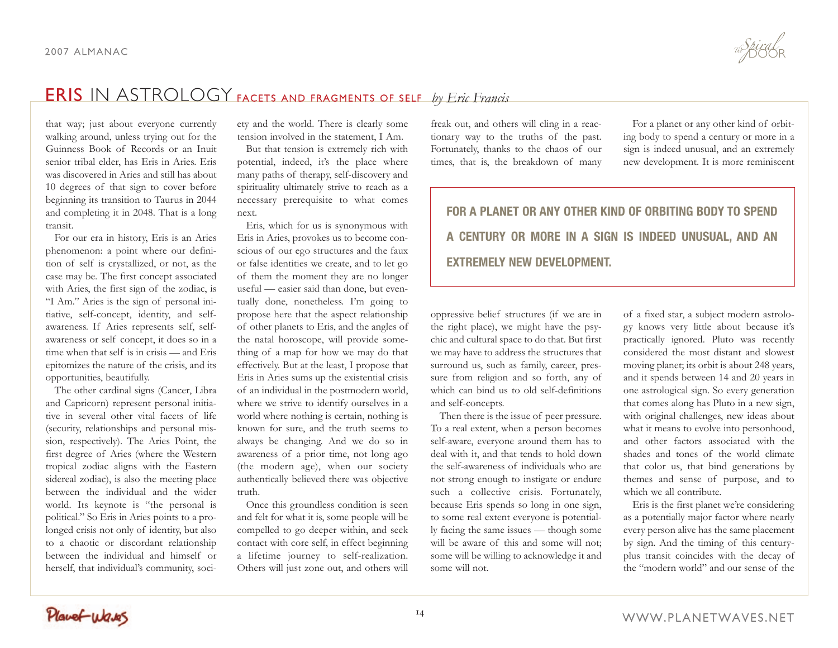that way; just about everyone currently walking around, unless trying out for the Guinness Book of Records or an Inuit senior tribal elder, has Eris in Aries. Eris was discovered in Aries and still has about 10 degrees of that sign to cover before beginning its transition to Taurus in 2044 and completing it in 2048. That is a long transit.

For our era in history, Eris is an Aries phenomenon: a point where our definition of self is crystallized, or not, as the case may be. The first concept associated with Aries, the first sign of the zodiac, is "I Am." Aries is the sign of personal initiative, self-concept, identity, and selfawareness. If Aries represents self, selfawareness or self concept, it does so in a time when that self is in crisis — and Eris epitomizes the nature of the crisis, and its opportunities, beautifully.

The other cardinal signs (Cancer, Libra and Capricorn) represent personal initiative in several other vital facets of life (security, relationships and personal mission, respectively). The Aries Point, the first degree of Aries (where the Western tropical zodiac aligns with the Eastern sidereal zodiac), is also the meeting place between the individual and the wider world. Its keynote is "the personal is political." So Eris in Aries points to a prolonged crisis not only of identity, but also to a chaotic or discordant relationship between the individual and himself or herself, that individual's community, society and the world. There is clearly some tension involved in the statement, I Am.

But that tension is extremely rich with potential, indeed, it's the place where many paths of therapy, self-discovery and spirituality ultimately strive to reach as a necessary prerequisite to what comes next.

Eris, which for us is synonymous with Eris in Aries, provokes us to become conscious of our ego structures and the faux or false identities we create, and to let go of them the moment they are no longer useful — easier said than done, but eventually done, nonetheless. I'm going to propose here that the aspect relationship of other planets to Eris, and the angles of the natal horoscope, will provide something of a map for how we may do that effectively. But at the least, I propose that Eris in Aries sums up the existential crisis of an individual in the postmodern world, where we strive to identify ourselves in a world where nothing is certain, nothing is known for sure, and the truth seems to always be changing. And we do so in awareness of a prior time, not long ago (the modern age), when our society authentically believed there was objective truth.

Once this groundless condition is seen and felt for what it is, some people will be compelled to go deeper within, and seek contact with core self, in effect beginning a lifetime journey to self-realization. Others will just zone out, and others will

freak out, and others will cling in a reactionary way to the truths of the past. Fortunately, thanks to the chaos of our times, that is, the breakdown of many

For a planet or any other kind of orbiting body to spend a century or more in a sign is indeed unusual, and an extremely new development. It is more reminiscent

# **FOR A PLANET OR ANY OTHER KIND OF ORBITING BODY TO SPEND A CENTURY OR MORE IN A SIGN IS INDEED UNUSUAL, AND AN EXTREMELY NEW DEVELOPMENT.**

oppressive belief structures (if we are in the right place), we might have the psychic and cultural space to do that. But first we may have to address the structures that surround us, such as family, career, pressure from religion and so forth, any of which can bind us to old self-definitions and self-concepts.

Then there is the issue of peer pressure. To a real extent, when a person becomes self-aware, everyone around them has to deal with it, and that tends to hold down the self-awareness of individuals who are not strong enough to instigate or endure such a collective crisis. Fortunately, because Eris spends so long in one sign, to some real extent everyone is potentially facing the same issues — though some will be aware of this and some will not; some will be willing to acknowledge it and some will not.

of a fixed star, a subject modern astrology knows very little about because it's practically ignored. Pluto was recently considered the most distant and slowest moving planet; its orbit is about 248 years, and it spends between 14 and 20 years in one astrological sign. So every generation that comes along has Pluto in a new sign, with original challenges, new ideas about what it means to evolve into personhood, and other factors associated with the shades and tones of the world climate that color us, that bind generations by themes and sense of purpose, and to which we all contribute.

Eris is the first planet we're considering as a potentially major factor where nearly every person alive has the same placement by sign. And the timing of this centuryplus transit coincides with the decay of the "modern world" and our sense of the

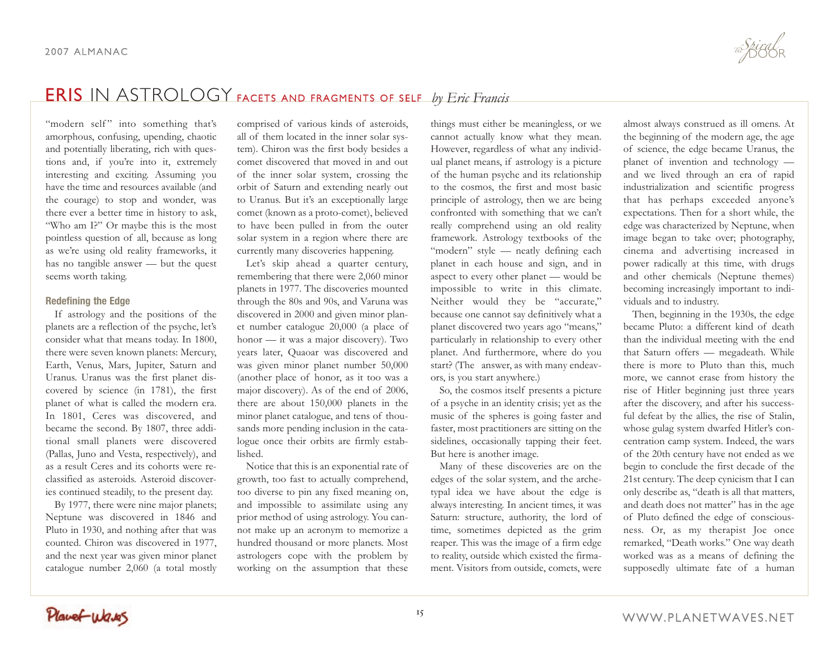"modern self" into something that's amorphous, confusing, upending, chaotic and potentially liberating, rich with questions and, if you're into it, extremely interesting and exciting. Assuming you have the time and resources available (and the courage) to stop and wonder, was there ever a better time in history to ask, "Who am I?" Or maybe this is the most pointless question of all, because as long as we're using old reality frameworks, it has no tangible answer — but the quest seems worth taking.

### **Redefining the Edge**

If astrology and the positions of the planets are a reflection of the psyche, let's consider what that means today. In 1800, there were seven known planets: Mercury, Earth, Venus, Mars, Jupiter, Saturn and Uranus. Uranus was the first planet discovered by science (in 1781), the first planet of what is called the modern era. In 1801, Ceres was discovered, and became the second. By 1807, three additional small planets were discovered (Pallas, Juno and Vesta, respectively), and as a result Ceres and its cohorts were reclassified as asteroids. Asteroid discoveries continued steadily, to the present day.

By 1977, there were nine major planets; Neptune was discovered in 1846 and Pluto in 1930, and nothing after that was counted. Chiron was discovered in 1977, and the next year was given minor planet catalogue number 2,060 (a total mostly

comprised of various kinds of asteroids, all of them located in the inner solar system). Chiron was the first body besides a comet discovered that moved in and out of the inner solar system, crossing the orbit of Saturn and extending nearly out to Uranus. But it's an exceptionally large comet (known as a proto-comet), believed to have been pulled in from the outer solar system in a region where there are currently many discoveries happening.

Let's skip ahead a quarter century, remembering that there were 2,060 minor planets in 1977. The discoveries mounted through the 80s and 90s, and Varuna was discovered in 2000 and given minor planet number catalogue 20,000 (a place of honor — it was a major discovery). Two years later, Quaoar was discovered and was given minor planet number 50,000 (another place of honor, as it too was a major discovery). As of the end of 2006, there are about 150,000 planets in the minor planet catalogue, and tens of thousands more pending inclusion in the catalogue once their orbits are firmly established.

Notice that this is an exponential rate of growth, too fast to actually comprehend, too diverse to pin any fixed meaning on, and impossible to assimilate using any prior method of using astrology. You cannot make up an acronym to memorize a hundred thousand or more planets. Most astrologers cope with the problem by working on the assumption that these

things must either be meaningless, or we cannot actually know what they mean. However, regardless of what any individual planet means, if astrology is a picture of the human psyche and its relationship to the cosmos, the first and most basic principle of astrology, then we are being confronted with something that we can't really comprehend using an old reality framework. Astrology textbooks of the "modern" style — neatly defining each planet in each house and sign, and in aspect to every other planet — would be impossible to write in this climate. Neither would they be "accurate," because one cannot say definitively what a planet discovered two years ago "means," particularly in relationship to every other planet. And furthermore, where do you start? (The answer, as with many endeavors, is you start anywhere.)

So, the cosmos itself presents a picture of a psyche in an identity crisis; yet as the music of the spheres is going faster and faster, most practitioners are sitting on the sidelines, occasionally tapping their feet. But here is another image.

Many of these discoveries are on the edges of the solar system, and the archetypal idea we have about the edge is always interesting. In ancient times, it was Saturn: structure, authority, the lord of time, sometimes depicted as the grim reaper. This was the image of a firm edge to reality, outside which existed the firmament. Visitors from outside, comets, were

almost always construed as ill omens. At the beginning of the modern age, the age of science, the edge became Uranus, the planet of invention and technology and we lived through an era of rapid industrialization and scientific progress that has perhaps exceeded anyone's expectations. Then for a short while, the edge was characterized by Neptune, when image began to take over; photography, cinema and advertising increased in power radically at this time, with drugs and other chemicals (Neptune themes) becoming increasingly important to individuals and to industry.

Then, beginning in the 1930s, the edge became Pluto: a different kind of death than the individual meeting with the end that Saturn offers — megadeath. While there is more to Pluto than this, much more, we cannot erase from history the rise of Hitler beginning just three years after the discovery, and after his successful defeat by the allies, the rise of Stalin, whose gulag system dwarfed Hitler's concentration camp system. Indeed, the wars of the 20th century have not ended as we begin to conclude the first decade of the 21st century. The deep cynicism that I can only describe as, "death is all that matters, and death does not matter" has in the age of Pluto defined the edge of consciousness. Or, as my therapist Joe once remarked, "Death works." One way death worked was as a means of defining the supposedly ultimate fate of a human

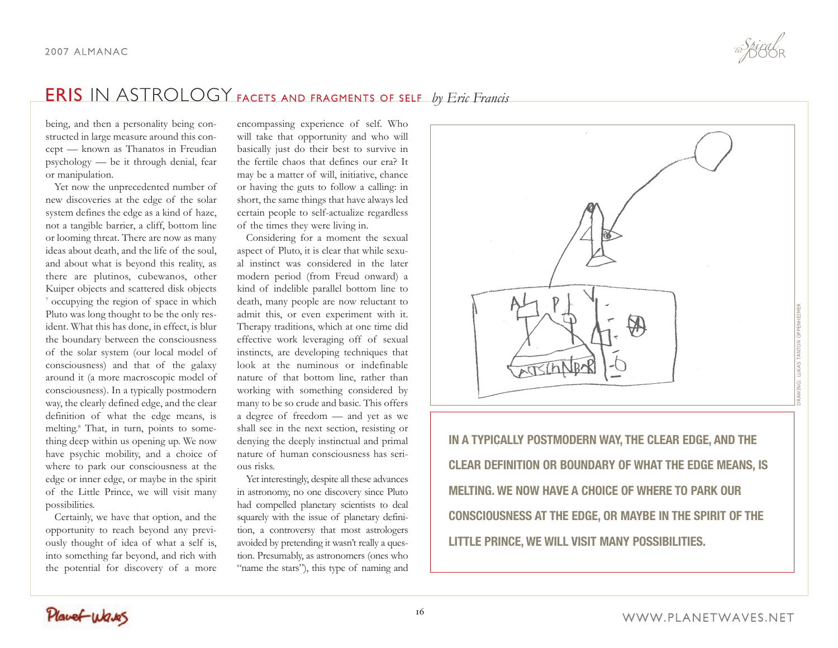being, and then a personality being constructed in large measure around this concept — known as Thanatos in Freudian psychology — be it through denial, fear or manipulation.

Yet now the unprecedented number of new discoveries at the edge of the solar system defines the edge as a kind of haze, not a tangible barrier, a cliff, bottom line or looming threat. There are now as many ideas about death, and the life of the soul, and about what is beyond this reality, as there are plutinos, cubewanos, other Kuiper objects and scattered disk objects <sup>7</sup> occupying the region of space in which Pluto was long thought to be the only resident. What this has done, in effect, is blur the boundary between the consciousness of the solar system (our local model of consciousness) and that of the galaxy around it (a more macroscopic model of consciousness). In a typically postmodern way, the clearly defined edge, and the clear definition of what the edge means, is melting. <sup>8</sup> That, in turn, points to something deep within us opening up. We now have psychic mobility, and a choice of where to park our consciousness at the edge or inner edge, or maybe in the spirit of the Little Prince, we will visit many possibilities.

Certainly, we have that option, and the opportunity to reach beyond any previously thought of idea of what a self is, into something far beyond, and rich with the potential for discovery of a more

encompassing experience of self. Who will take that opportunity and who will basically just do their best to survive in the fertile chaos that defines our era? It may be a matter of will, initiative, chance or having the guts to follow a calling: in short, the same things that have always led certain people to self-actualize regardless of the times they were living in.

Considering for a moment the sexual aspect of Pluto, it is clear that while sexual instinct was considered in the later modern period (from Freud onward) a kind of indelible parallel bottom line to death, many people are now reluctant to admit this, or even experiment with it. Therapy traditions, which at one time did effective work leveraging off of sexual instincts, are developing techniques that look at the numinous or indefinable nature of that bottom line, rather than working with something considered by many to be so crude and basic. This offers a degree of freedom — and yet as we shall see in the next section, resisting or denying the deeply instinctual and primal nature of human consciousness has serious risks.

Yet interestingly, despite all these advances in astronomy, no one discovery since Pluto had compelled planetary scientists to deal squarely with the issue of planetary definition, a controversy that most astrologers avoided by pretending it wasn't really a question. Presumably, as astronomers (ones who "name the stars"), this type of naming and



**IN A TYPICALLY POSTMODERN WAY, THE CLEAR EDGE, AND THE CLEAR DEFINITION OR BOUNDARY OF WHAT THE EDGE MEANS, IS MELTING. WE NOW HAVE A CHOICE OF WHERE TO PARK OUR CONSCIOUSNESS AT THE EDGE, OR MAYBE IN THE SPIRIT OF THE LITTLE PRINCE, WE WILL VISIT MANY POSSIBILITIES.**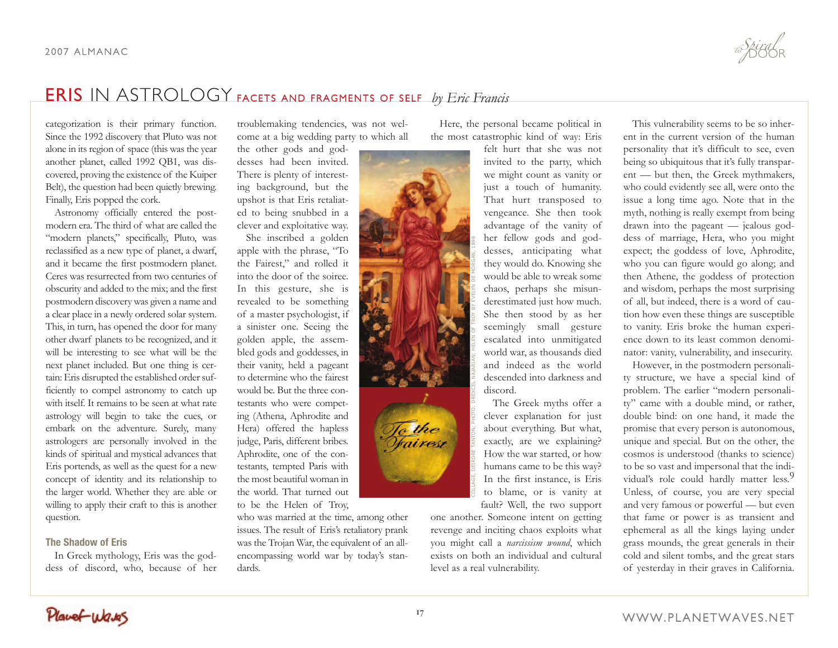categorization is their primary function. Since the 1992 discovery that Pluto was not alone in its region of space (this was the year another planet, called 1992 QB1, was discovered, proving the existence of the Kuiper Belt), the question had been quietly brewing. Finally, Eris popped the cork.

Astronomy officially entered the postmodern era. The third of what are called the "modern planets," specifically, Pluto, was reclassified as a new type of planet, a dwarf, and it became the first postmodern planet. Ceres was resurrected from two centuries of obscurity and added to the mix; and the first postmodern discovery was given a name and a clear place in a newly ordered solar system. This, in turn, has opened the door for many other dwarf planets to be recognized, and it will be interesting to see what will be the next planet included. But one thing is certain: Eris disrupted the established order sufficiently to compel astronomy to catch up with itself. It remains to be seen at what rate astrology will begin to take the cues, or embark on the adventure. Surely, many astrologers are personally involved in the kinds of spiritual and mystical advances that Eris portends, as well as the quest for a new concept of identity and its relationship to the larger world. Whether they are able or willing to apply their craft to this is another question.

### **The Shadow of Eris**

In Greek mythology, Eris was the goddess of discord, who, because of her

troublemaking tendencies, was not welcome at a big wedding party to which all

the other gods and goddesses had been invited. There is plenty of interesting background, but the upshot is that Eris retaliated to being snubbed in a clever and exploitative way.

She inscribed a golden apple with the phrase, "To the Fairest," and rolled it into the door of the soiree. In this gesture, she is revealed to be something of a master psychologist, if a sinister one. Seeing the golden apple, the assembled gods and goddesses, in their vanity, held a pageant to determine who the fairest would be. But the three contestants who were competing (Athena, Aphrodite and Hera) offered the hapless judge, Paris, different bribes. Aphrodite, one of the contestants, tempted Paris with the most beautiful woman in the world. That turned out to be the Helen of Troy,

who was married at the time, among other issues. The result of Eris's retaliatory prank was the Trojan War, the equivalent of an allencompassing world war by today's standards.

Here, the personal became political in the most catastrophic kind of way: Eris

felt hurt that she was not invited to the party, which we might count as vanity or just a touch of humanity. That hurt transposed to vengeance. She then took advantage of the vanity of her fellow gods and goddesses, anticipating what they would do. Knowing she would be able to wreak some chaos, perhaps she misunderestimated just how much. She then stood by as her seemingly small gesture escalated into unmitigated world war, as thousands died and indeed as the world descended into darkness and discord.

The Greek myths offer a clever explanation for just about everything. But what, exactly, are we explaining? How the war started, or how humans came to be this way? In the first instance, is Eris to blame, or is vanity at fault? Well, the two support

one another. Someone intent on getting revenge and inciting chaos exploits what you might call a *narcissism wound*, which exists on both an individual and cultural level as a real vulnerability.

COLLAGE, DEIRDRE TANTON; PHOTO: DREXCEL NAJARIAN; HELEN OF TROY BY EVELYN DE MORGAN, 1898

This vulnerability seems to be so inherent in the current version of the human personality that it's difficult to see, even being so ubiquitous that it's fully transparent — but then, the Greek mythmakers, who could evidently see all, were onto the issue a long time ago. Note that in the myth, nothing is really exempt from being drawn into the pageant — jealous goddess of marriage, Hera, who you might expect; the goddess of love, Aphrodite, who you can figure would go along; and then Athene, the goddess of protection and wisdom, perhaps the most surprising of all, but indeed, there is a word of caution how even these things are susceptible to vanity. Eris broke the human experience down to its least common denominator: vanity, vulnerability, and insecurity.

However, in the postmodern personality structure, we have a special kind of problem. The earlier "modern personality" came with a double mind, or rather, double bind: on one hand, it made the promise that every person is autonomous, unique and special. But on the other, the cosmos is understood (thanks to science) to be so vast and impersonal that the individual's role could hardly matter less.<sup>9</sup> Unless, of course, you are very special and very famous or powerful — but even that fame or power is as transient and ephemeral as all the kings laying under grass mounds, the great generals in their cold and silent tombs, and the great stars of yesterday in their graves in California.

Planet Wares

<u>Jo t</u>he<br>Trairesi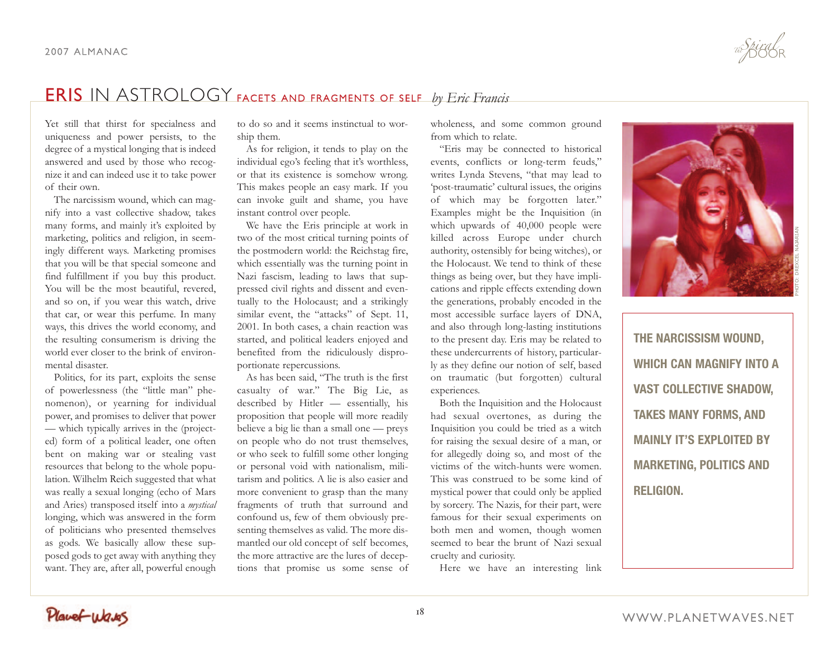Yet still that thirst for specialness and uniqueness and power persists, to the degree of a mystical longing that is indeed answered and used by those who recognize it and can indeed use it to take power of their own.

The narcissism wound, which can magnify into a vast collective shadow, takes many forms, and mainly it's exploited by marketing, politics and religion, in seemingly different ways. Marketing promises that you will be that special someone and find fulfillment if you buy this product. You will be the most beautiful, revered, and so on, if you wear this watch, drive that car, or wear this perfume. In many ways, this drives the world economy, and the resulting consumerism is driving the world ever closer to the brink of environmental disaster.

Politics, for its part, exploits the sense of powerlessness (the "little man" phenomenon), or yearning for individual power, and promises to deliver that power — which typically arrives in the (projected) form of a political leader, one often bent on making war or stealing vast resources that belong to the whole population. Wilhelm Reich suggested that what was really a sexual longing (echo of Mars and Aries) transposed itself into a *mystical* longing, which was answered in the form of politicians who presented themselves as gods. We basically allow these supposed gods to get away with anything they want. They are, after all, powerful enough

to do so and it seems instinctual to worship them.

As for religion, it tends to play on the individual ego's feeling that it's worthless, or that its existence is somehow wrong. This makes people an easy mark. If you can invoke guilt and shame, you have instant control over people.

We have the Eris principle at work in two of the most critical turning points of the postmodern world: the Reichstag fire, which essentially was the turning point in Nazi fascism, leading to laws that suppressed civil rights and dissent and eventually to the Holocaust; and a strikingly similar event, the "attacks" of Sept. 11, 2001. In both cases, a chain reaction was started, and political leaders enjoyed and benefited from the ridiculously disproportionate repercussions.

As has been said, "The truth is the first casualty of war." The Big Lie, as described by Hitler — essentially, his proposition that people will more readily believe a big lie than a small one — preys on people who do not trust themselves, or who seek to fulfill some other longing or personal void with nationalism, militarism and politics. A lie is also easier and more convenient to grasp than the many fragments of truth that surround and confound us, few of them obviously presenting themselves as valid. The more dismantled our old concept of self becomes, the more attractive are the lures of deceptions that promise us some sense of wholeness, and some common ground from which to relate.

"Eris may be connected to historical events, conflicts or long-term feuds," writes Lynda Stevens, "that may lead to 'post-traumatic' cultural issues, the origins of which may be forgotten later." Examples might be the Inquisition (in which upwards of 40,000 people were killed across Europe under church authority, ostensibly for being witches), or the Holocaust. We tend to think of these things as being over, but they have implications and ripple effects extending down the generations, probably encoded in the most accessible surface layers of DNA, and also through long-lasting institutions to the present day. Eris may be related to these undercurrents of history, particularly as they define our notion of self, based on traumatic (but forgotten) cultural experiences.

Both the Inquisition and the Holocaust had sexual overtones, as during the Inquisition you could be tried as a witch for raising the sexual desire of a man, or for allegedly doing so, and most of the victims of the witch-hunts were women. This was construed to be some kind of mystical power that could only be applied by sorcery. The Nazis, for their part, were famous for their sexual experiments on both men and women, though women seemed to bear the brunt of Nazi sexual cruelty and curiosity.

Here we have an interesting link



**THE NARCISSISM WOUND, WHICH CAN MAGNIFY INTO A VAST COLLECTIVE SHADOW, TAKES MANY FORMS, AND MAINLY IT'S EXPLOITED BY MARKETING, POLITICS AND RELIGION.**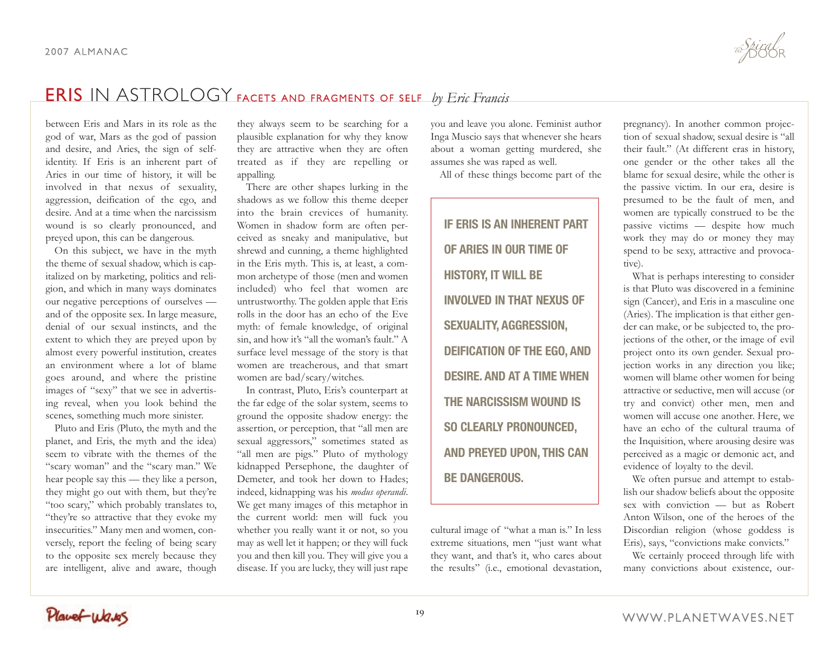between Eris and Mars in its role as the god of war, Mars as the god of passion and desire, and Aries, the sign of selfidentity. If Eris is an inherent part of Aries in our time of history, it will be involved in that nexus of sexuality, aggression, deification of the ego, and desire. And at a time when the narcissism wound is so clearly pronounced, and preyed upon, this can be dangerous.

On this subject, we have in the myth the theme of sexual shadow, which is capitalized on by marketing, politics and religion, and which in many ways dominates our negative perceptions of ourselves and of the opposite sex. In large measure, denial of our sexual instincts, and the extent to which they are preyed upon by almost every powerful institution, creates an environment where a lot of blame goes around, and where the pristine images of "sexy" that we see in advertising reveal, when you look behind the scenes, something much more sinister.

Pluto and Eris (Pluto, the myth and the planet, and Eris, the myth and the idea) seem to vibrate with the themes of the "scary woman" and the "scary man." We hear people say this — they like a person, they might go out with them, but they're "too scary," which probably translates to, "they're so attractive that they evoke my insecurities." Many men and women, conversely, report the feeling of being scary to the opposite sex merely because they are intelligent, alive and aware, though

they always seem to be searching for a plausible explanation for why they know they are attractive when they are often treated as if they are repelling or appalling.

There are other shapes lurking in the shadows as we follow this theme deeper into the brain crevices of humanity. Women in shadow form are often perceived as sneaky and manipulative, but shrewd and cunning, a theme highlighted in the Eris myth. This is, at least, a common archetype of those (men and women included) who feel that women are untrustworthy. The golden apple that Eris rolls in the door has an echo of the Eve myth: of female knowledge, of original sin, and how it's "all the woman's fault." A surface level message of the story is that women are treacherous, and that smart women are bad/scary/witches.

In contrast, Pluto, Eris's counterpart at the far edge of the solar system, seems to ground the opposite shadow energy: the assertion, or perception, that "all men are sexual aggressors," sometimes stated as "all men are pigs." Pluto of mythology kidnapped Persephone, the daughter of Demeter, and took her down to Hades; indeed, kidnapping was his *modus operandi*. We get many images of this metaphor in the current world: men will fuck you whether you really want it or not, so you may as well let it happen; or they will fuck you and then kill you. They will give you a disease. If you are lucky, they will just rape

you and leave you alone. Feminist author Inga Muscio says that whenever she hears about a woman getting murdered, she assumes she was raped as well.

All of these things become part of the

**IF ERIS IS AN INHERENT PART OF ARIES IN OUR TIME OF HISTORY, IT WILL BE INVOLVED IN THAT NEXUS OF SEXUALITY, AGGRESSION, DEIFICATION OF THE EGO, AND DESIRE. AND AT A TIME WHEN THE NARCISSISM WOUND IS SO CLEARLY PRONOUNCED, AND PREYED UPON, THIS CAN BE DANGEROUS.**

cultural image of "what a man is." In less extreme situations, men "just want what they want, and that's it, who cares about the results" (i.e., emotional devastation, pregnancy). In another common projection of sexual shadow, sexual desire is "all their fault." (At different eras in history, one gender or the other takes all the blame for sexual desire, while the other is the passive victim. In our era, desire is presumed to be the fault of men, and women are typically construed to be the passive victims — despite how much work they may do or money they may spend to be sexy, attractive and provocative).

What is perhaps interesting to consider is that Pluto was discovered in a feminine sign (Cancer), and Eris in a masculine one (Aries). The implication is that either gender can make, or be subjected to, the projections of the other, or the image of evil project onto its own gender. Sexual projection works in any direction you like; women will blame other women for being attractive or seductive, men will accuse (or try and convict) other men, men and women will accuse one another. Here, we have an echo of the cultural trauma of the Inquisition, where arousing desire was perceived as a magic or demonic act, and evidence of loyalty to the devil.

We often pursue and attempt to establish our shadow beliefs about the opposite sex with conviction — but as Robert Anton Wilson, one of the heroes of the Discordian religion (whose goddess is Eris), says, "convictions make convicts."

We certainly proceed through life with many convictions about existence, our-

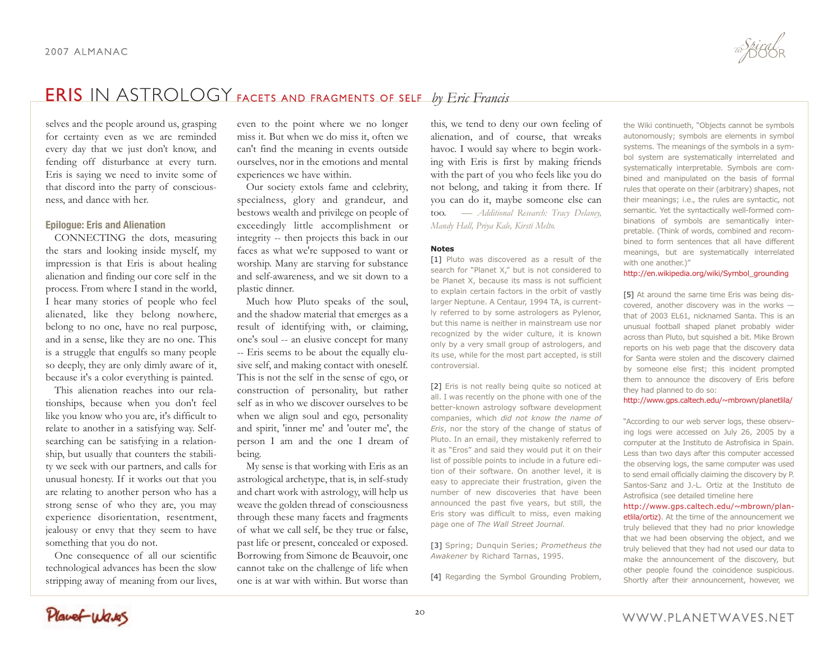selves and the people around us, grasping for certainty even as we are reminded every day that we just don't know, and fending off disturbance at every turn. Eris is saying we need to invite some of that discord into the party of consciousness, and dance with her.

### **Epilogue: Eris and Alienation**

CONNECTING the dots, measuring the stars and looking inside myself, my impression is that Eris is about healing alienation and finding our core self in the process. From where I stand in the world, I hear many stories of people who feel alienated, like they belong nowhere, belong to no one, have no real purpose, and in a sense, like they are no one. This is a struggle that engulfs so many people so deeply, they are only dimly aware of it, because it's a color everything is painted.

This alienation reaches into our relationships, because when you don't feel like you know who you are, it's difficult to relate to another in a satisfying way. Selfsearching can be satisfying in a relationship, but usually that counters the stability we seek with our partners, and calls for unusual honesty. If it works out that you are relating to another person who has a strong sense of who they are, you may experience disorientation, resentment, jealousy or envy that they seem to have something that you do not.

One consequence of all our scientific technological advances has been the slow stripping away of meaning from our lives,

even to the point where we no longer miss it. But when we do miss it, often we can't find the meaning in events outside ourselves, nor in the emotions and mental experiences we have within.

Our society extols fame and celebrity, specialness, glory and grandeur, and bestows wealth and privilege on people of exceedingly little accomplishment or integrity -- then projects this back in our faces as what we're supposed to want or worship. Many are starving for substance and self-awareness, and we sit down to a plastic dinner.

Much how Pluto speaks of the soul, and the shadow material that emerges as a result of identifying with, or claiming, one's soul -- an elusive concept for many -- Eris seems to be about the equally elusive self, and making contact with oneself. This is not the self in the sense of ego, or construction of personality, but rather self as in who we discover ourselves to be when we align soul and ego, personality and spirit, 'inner me' and 'outer me', the person I am and the one I dream of being.

My sense is that working with Eris as an astrological archetype, that is, in self-study and chart work with astrology, will help us weave the golden thread of consciousness through these many facets and fragments of what we call self, be they true or false, past life or present, concealed or exposed. Borrowing from Simone de Beauvoir, one cannot take on the challenge of life when one is at war with within. But worse than

this, we tend to deny our own feeling of alienation, and of course, that wreaks havoc. I would say where to begin working with Eris is first by making friends with the part of you who feels like you do not belong, and taking it from there. If you can do it, maybe someone else can too. *— Additional Research: Tracy Delaney, Mandy Hall, Priya Kale, Kirsti Melto.*

### **Notes**

[1] Pluto was discovered as a result of the search for "Planet X," but is not considered to be Planet X, because its mass is not sufficient to explain certain factors in the orbit of vastly larger Neptune. A Centaur, 1994 TA, is currently referred to by some astrologers as Pylenor, but this name is neither in mainstream use nor recognized by the wider culture, it is known only by a very small group of astrologers, and its use, while for the most part accepted, is still controversial.

[2] Eris is not really being quite so noticed at all. I was recently on the phone with one of the better-known astrology software development companies, which *did not know the name of Eris*, nor the story of the change of status of Pluto. In an email, they mistakenly referred to it as "Eros" and said they would put it on their list of possible points to include in a future edition of their software. On another level, it is easy to appreciate their frustration, given the number of new discoveries that have been announced the past five years, but still, the Eris story was difficult to miss, even making page one of *The Wall Street Journal.*

[3] Spring; Dunquin Series; *Prometheus the Awakener* by Richard Tarnas, 1995.

[4] Regarding the Symbol Grounding Problem,

the Wiki continueth, "Objects cannot be symbols autonomously; symbols are elements in symbol systems. The meanings of the symbols in a symbol system are systematically interrelated and systematically interpretable. Symbols are combined and manipulated on the basis of formal rules that operate on their (arbitrary) shapes, not their meanings; i.e., the rules are syntactic, not semantic. Yet the syntactically well-formed combinations of symbols are semantically interpretable. (Think of words, combined and recombined to form sentences that all have different meanings, but are systematically interrelated with one another.)"

### http://en.wikipedia.org/wiki/Symbol\_grounding

[5] At around the same time Eris was being discovered, another discovery was in the works that of 2003 EL61, nicknamed Santa. This is an unusual football shaped planet probably wider across than Pluto, but squished a bit. Mike Brown reports on his web page that the discovery data for Santa were stolen and the discovery claimed by someone else first; this incident prompted them to announce the discovery of Eris before they had planned to do so:

### http://www.gps.caltech.edu/~mbrown/planetlila/

"According to our web server logs, these observing logs were accessed on July 26, 2005 by a computer at the Instituto de Astrofisica in Spain. Less than two days after this computer accessed the observing logs, the same computer was used to send email officially claiming the discovery by P. Santos-Sanz and J.-L. Ortiz at the Instituto de Astrofisica (see detailed timeline here

http://www.gps.caltech.edu/~mbrown/planetlila/ortiz). At the time of the announcement we truly believed that they had no prior knowledge that we had been observing the object, and we truly believed that they had not used our data to make the announcement of the discovery, but other people found the coincidence suspicious. Shortly after their announcement, however, we